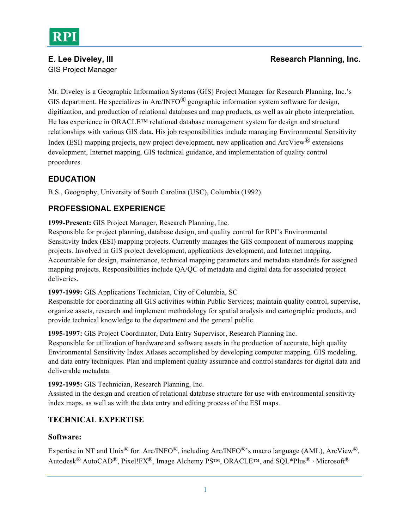# GIS Project Manager

## **E. Lee Diveley, III Research Planning, Inc. Research Planning, Inc.**

Mr. Diveley is a Geographic Information Systems (GIS) Project Manager for Research Planning, Inc.'s GIS department. He specializes in Arc/INFO $^{\circledR}$  geographic information system software for design, digitization, and production of relational databases and map products, as well as air photo interpretation. He has experience in ORACLE™ relational database management system for design and structural relationships with various GIS data. His job responsibilities include managing Environmental Sensitivity Index (ESI) mapping projects, new project development, new application and  $ArcV$ iew<sup>®</sup> extensions development, Internet mapping, GIS technical guidance, and implementation of quality control procedures.

# **EDUCATION**

B.S., Geography, University of South Carolina (USC), Columbia (1992).

# **PROFESSIONAL EXPERIENCE**

**1999-Present:** GIS Project Manager, Research Planning, Inc.

Responsible for project planning, database design, and quality control for RPI's Environmental Sensitivity Index (ESI) mapping projects. Currently manages the GIS component of numerous mapping projects. Involved in GIS project development, applications development, and Internet mapping. Accountable for design, maintenance, technical mapping parameters and metadata standards for assigned mapping projects. Responsibilities include QA/QC of metadata and digital data for associated project deliveries.

**1997-1999:** GIS Applications Technician, City of Columbia, SC

Responsible for coordinating all GIS activities within Public Services; maintain quality control, supervise, organize assets, research and implement methodology for spatial analysis and cartographic products, and provide technical knowledge to the department and the general public.

**1995-1997:** GIS Project Coordinator, Data Entry Supervisor, Research Planning Inc.

Responsible for utilization of hardware and software assets in the production of accurate, high quality Environmental Sensitivity Index Atlases accomplished by developing computer mapping, GIS modeling, and data entry techniques. Plan and implement quality assurance and control standards for digital data and deliverable metadata.

**1992-1995:** GIS Technician, Research Planning, Inc.

Assisted in the design and creation of relational database structure for use with environmental sensitivity index maps, as well as with the data entry and editing process of the ESI maps.

### **TECHNICAL EXPERTISE**

#### **Software:**

Expertise in NT and Unix<sup>®</sup> for: Arc/INFO<sup>®</sup>, including Arc/INFO<sup>®</sup>'s macro language (AML), ArcView<sup>®</sup>, Autodesk<sup>®</sup> AutoCAD<sup>®</sup>, Pixel!FX<sup>®</sup>, Image Alchemy PS™, ORACLE™, and SQL\*Plus<sup>®</sup>, Microsoft<sup>®</sup>